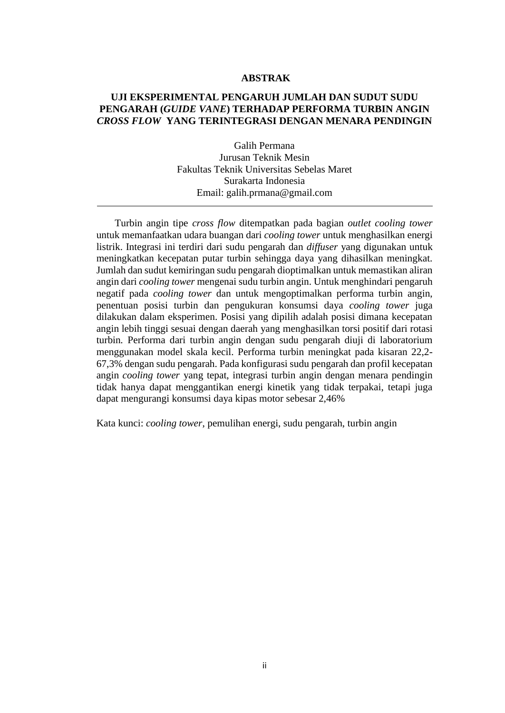## **ABSTRAK**

## **UJI EKSPERIMENTAL PENGARUH JUMLAH DAN SUDUT SUDU PENGARAH (***GUIDE VANE***) TERHADAP PERFORMA TURBIN ANGIN** *CROSS FLOW* **YANG TERINTEGRASI DENGAN MENARA PENDINGIN**

Galih Permana Jurusan Teknik Mesin Fakultas Teknik Universitas Sebelas Maret Surakarta Indonesia Email: galih.prmana@gmail.com

Turbin angin tipe *cross flow* ditempatkan pada bagian *outlet cooling tower*  untuk memanfaatkan udara buangan dari *cooling tower* untuk menghasilkan energi listrik. Integrasi ini terdiri dari sudu pengarah dan *diffuser* yang digunakan untuk meningkatkan kecepatan putar turbin sehingga daya yang dihasilkan meningkat. Jumlah dan sudut kemiringan sudu pengarah dioptimalkan untuk memastikan aliran angin dari *cooling tower* mengenai sudu turbin angin. Untuk menghindari pengaruh negatif pada *cooling tower* dan untuk mengoptimalkan performa turbin angin, penentuan posisi turbin dan pengukuran konsumsi daya *cooling tower* juga dilakukan dalam eksperimen. Posisi yang dipilih adalah posisi dimana kecepatan angin lebih tinggi sesuai dengan daerah yang menghasilkan torsi positif dari rotasi turbin*.* Performa dari turbin angin dengan sudu pengarah diuji di laboratorium menggunakan model skala kecil. Performa turbin meningkat pada kisaran 22,2- 67,3% dengan sudu pengarah. Pada konfigurasi sudu pengarah dan profil kecepatan angin *cooling tower* yang tepat, integrasi turbin angin dengan menara pendingin tidak hanya dapat menggantikan energi kinetik yang tidak terpakai, tetapi juga dapat mengurangi konsumsi daya kipas motor sebesar 2,46%

Kata kunci: *cooling tower*, pemulihan energi, sudu pengarah, turbin angin